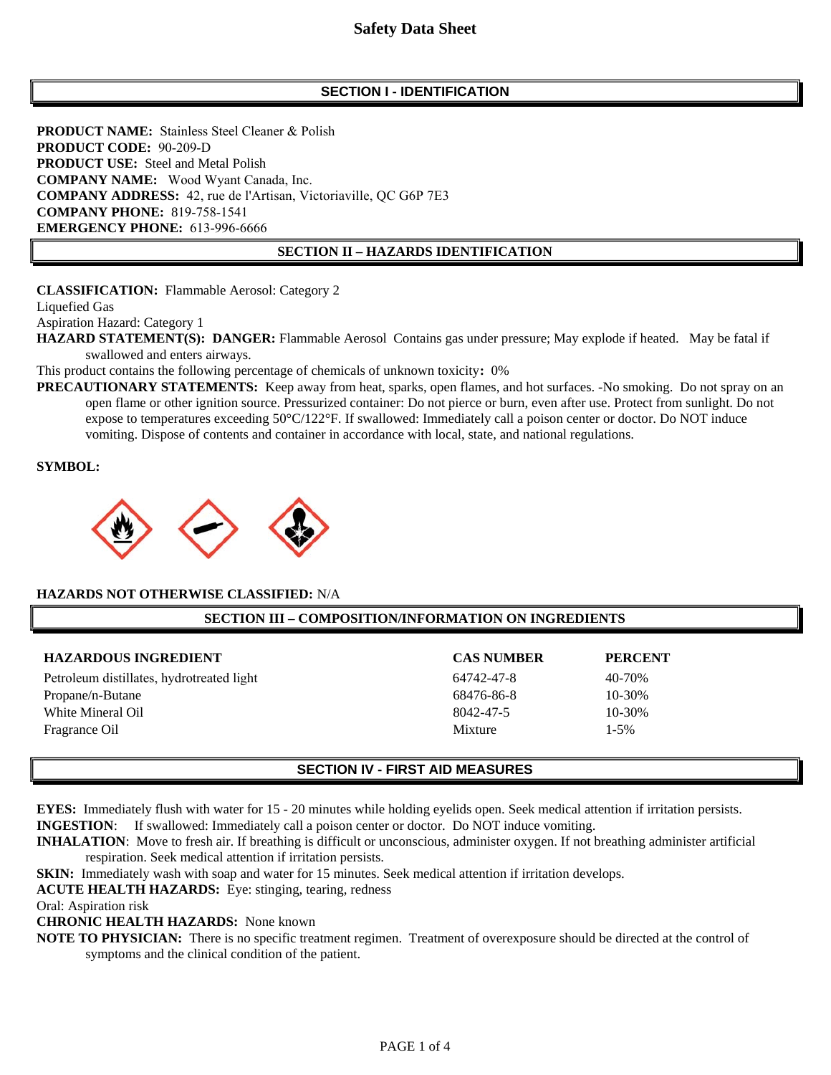# **Safety Data Sheet**

### **SECTION I - IDENTIFICATION**

**PRODUCT NAME:** Stainless Steel Cleaner & Polish **PRODUCT CODE:** 90-209-D **PRODUCT USE:** Steel and Metal Polish **COMPANY NAME:** Wood Wyant Canada, Inc. **COMPANY ADDRESS:** 42, rue de l'Artisan, Victoriaville, QC G6P 7E3 **COMPANY PHONE:** 819-758-1541 **EMERGENCY PHONE:** 613-996-6666

#### **SECTION II – HAZARDS IDENTIFICATION**

**CLASSIFICATION:** Flammable Aerosol: Category 2 Liquefied Gas

Aspiration Hazard: Category 1

**HAZARD STATEMENT(S): DANGER:** Flammable Aerosol Contains gas under pressure; May explode if heated. May be fatal if swallowed and enters airways.

This product contains the following percentage of chemicals of unknown toxicity**:** 0%

**PRECAUTIONARY STATEMENTS:** Keep away from heat, sparks, open flames, and hot surfaces. -No smoking. Do not spray on an open flame or other ignition source. Pressurized container: Do not pierce or burn, even after use. Protect from sunlight. Do not expose to temperatures exceeding 50°C/122°F. If swallowed: Immediately call a poison center or doctor. Do NOT induce vomiting. Dispose of contents and container in accordance with local, state, and national regulations.

**SYMBOL:**



#### **HAZARDS NOT OTHERWISE CLASSIFIED:** N/A

#### **SECTION III – COMPOSITION/INFORMATION ON INGREDIENTS**

| <b>HAZARDOUS INGREDIENT</b>               | <b>CAS NUMBER</b> | <b>PERCENT</b> |
|-------------------------------------------|-------------------|----------------|
| Petroleum distillates, hydrotreated light | 64742-47-8        | 40-70%         |
| Propane/n-Butane                          | 68476-86-8        | $10 - 30%$     |
| White Mineral Oil                         | 8042-47-5         | $10 - 30\%$    |
| Fragrance Oil                             | Mixture           | $1 - 5\%$      |

#### **SECTION IV - FIRST AID MEASURES**

**EYES:** Immediately flush with water for 15 - 20 minutes while holding eyelids open. Seek medical attention if irritation persists. **INGESTION**: If swallowed: Immediately call a poison center or doctor. Do NOT induce vomiting.

**INHALATION**: Move to fresh air. If breathing is difficult or unconscious, administer oxygen. If not breathing administer artificial respiration. Seek medical attention if irritation persists.

**SKIN:** Immediately wash with soap and water for 15 minutes. Seek medical attention if irritation develops.

**ACUTE HEALTH HAZARDS:** Eye: stinging, tearing, redness

Oral: Aspiration risk

**CHRONIC HEALTH HAZARDS:** None known

**NOTE TO PHYSICIAN:** There is no specific treatment regimen. Treatment of overexposure should be directed at the control of symptoms and the clinical condition of the patient.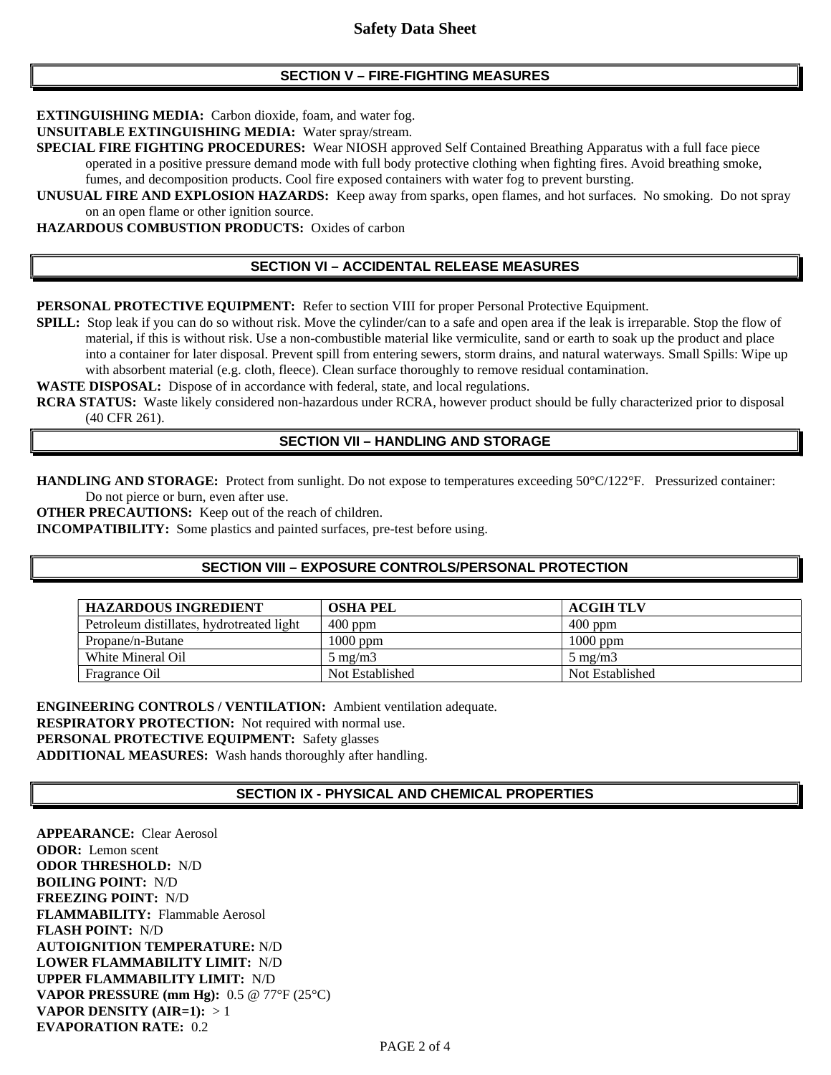### **SECTION V – FIRE-FIGHTING MEASURES**

**EXTINGUISHING MEDIA:** Carbon dioxide, foam, and water fog.

**UNSUITABLE EXTINGUISHING MEDIA:** Water spray/stream.

**SPECIAL FIRE FIGHTING PROCEDURES:** Wear NIOSH approved Self Contained Breathing Apparatus with a full face piece operated in a positive pressure demand mode with full body protective clothing when fighting fires. Avoid breathing smoke, fumes, and decomposition products. Cool fire exposed containers with water fog to prevent bursting.

**UNUSUAL FIRE AND EXPLOSION HAZARDS:** Keep away from sparks, open flames, and hot surfaces. No smoking. Do not spray on an open flame or other ignition source.

**HAZARDOUS COMBUSTION PRODUCTS:** Oxides of carbon

## **SECTION VI – ACCIDENTAL RELEASE MEASURES**

**PERSONAL PROTECTIVE EQUIPMENT:** Refer to section VIII for proper Personal Protective Equipment.

**SPILL:** Stop leak if you can do so without risk. Move the cylinder/can to a safe and open area if the leak is irreparable. Stop the flow of material, if this is without risk. Use a non-combustible material like vermiculite, sand or earth to soak up the product and place into a container for later disposal. Prevent spill from entering sewers, storm drains, and natural waterways. Small Spills: Wipe up with absorbent material (e.g. cloth, fleece). Clean surface thoroughly to remove residual contamination.

WASTE DISPOSAL: Dispose of in accordance with federal, state, and local regulations.

**RCRA STATUS:** Waste likely considered non-hazardous under RCRA, however product should be fully characterized prior to disposal (40 CFR 261).

### **SECTION VII – HANDLING AND STORAGE**

**HANDLING AND STORAGE:** Protect from sunlight. Do not expose to temperatures exceeding 50°C/122°F. Pressurized container: Do not pierce or burn, even after use.

**OTHER PRECAUTIONS:** Keep out of the reach of children.

**INCOMPATIBILITY:** Some plastics and painted surfaces, pre-test before using.

### **SECTION VIII – EXPOSURE CONTROLS/PERSONAL PROTECTION**

| <b>HAZARDOUS INGREDIENT</b>               | <b>OSHA PEL</b>  | <b>ACGIH TLV</b> |
|-------------------------------------------|------------------|------------------|
| Petroleum distillates, hydrotreated light | $400$ ppm        | $400$ ppm        |
| Propane/n-Butane                          | $1000$ ppm       | $1000$ ppm       |
| White Mineral Oil                         | $5 \text{ mg/m}$ | $5 \text{ mg/m}$ |
| Fragrance Oil                             | Not Established  | Not Established  |

**ENGINEERING CONTROLS / VENTILATION:** Ambient ventilation adequate. **RESPIRATORY PROTECTION:** Not required with normal use. **PERSONAL PROTECTIVE EQUIPMENT:** Safety glasses **ADDITIONAL MEASURES:** Wash hands thoroughly after handling.

### **SECTION IX - PHYSICAL AND CHEMICAL PROPERTIES**

**APPEARANCE:** Clear Aerosol **ODOR:** Lemon scent **ODOR THRESHOLD:** N/D **BOILING POINT:** N/D **FREEZING POINT:** N/D **FLAMMABILITY:** Flammable Aerosol **FLASH POINT:** N/D **AUTOIGNITION TEMPERATURE:** N/D **LOWER FLAMMABILITY LIMIT:** N/D **UPPER FLAMMABILITY LIMIT:** N/D **VAPOR PRESSURE (mm Hg):** 0.5 @ 77°F (25°C) **VAPOR DENSITY (AIR=1):** > 1 **EVAPORATION RATE:** 0.2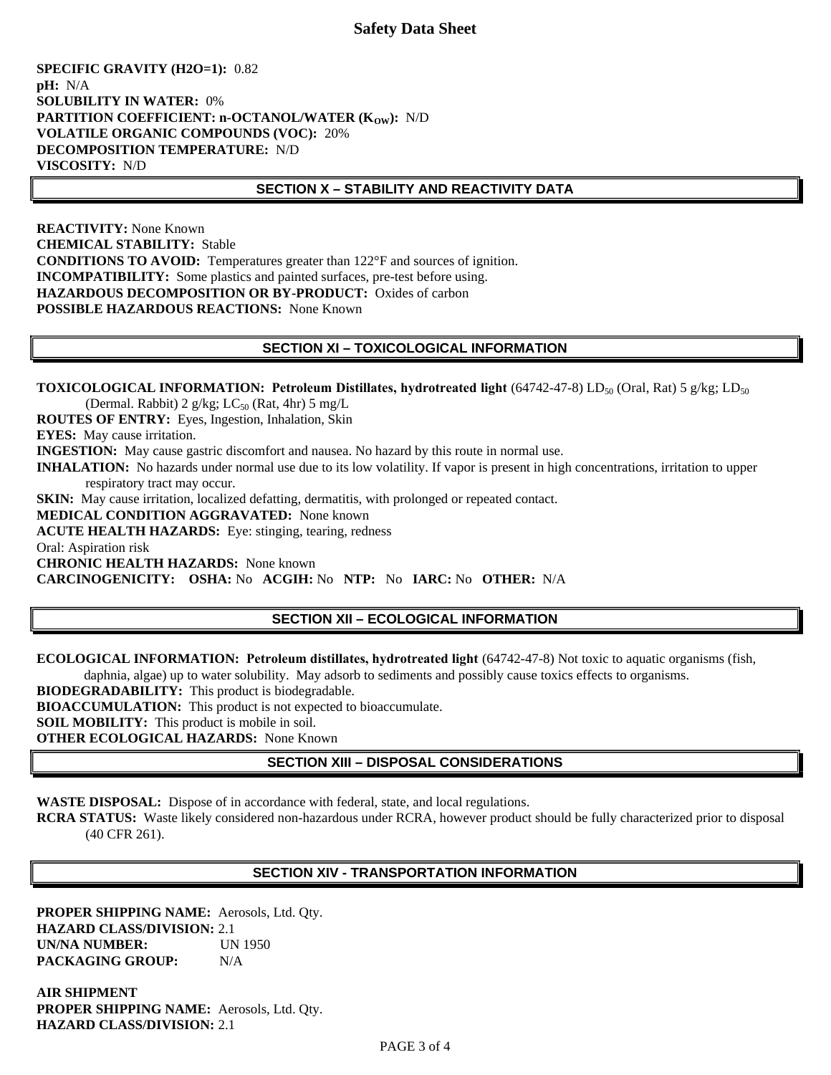## **Safety Data Sheet**

**SPECIFIC GRAVITY (H2O=1):** 0.82 **pH:** N/A **SOLUBILITY IN WATER:** 0% **PARTITION COEFFICIENT: n-OCTANOL/WATER (K<sub>OW</sub>): N/D VOLATILE ORGANIC COMPOUNDS (VOC):** 20% **DECOMPOSITION TEMPERATURE:** N/D **VISCOSITY:** N/D

#### **SECTION X – STABILITY AND REACTIVITY DATA**

**REACTIVITY:** None Known **CHEMICAL STABILITY:** Stable **CONDITIONS TO AVOID:** Temperatures greater than 122°F and sources of ignition. **INCOMPATIBILITY:** Some plastics and painted surfaces, pre-test before using. **HAZARDOUS DECOMPOSITION OR BY-PRODUCT:** Oxides of carbon **POSSIBLE HAZARDOUS REACTIONS:** None Known

#### **SECTION XI – TOXICOLOGICAL INFORMATION**

**TOXICOLOGICAL INFORMATION: Petroleum Distillates, hydrotreated light** (64742-47-8) LD<sub>50</sub> (Oral, Rat) 5 g/kg; LD<sub>50</sub> (Dermal. Rabbit) 2 g/kg;  $LC_{50}$  (Rat, 4hr) 5 mg/L **ROUTES OF ENTRY:** Eyes, Ingestion, Inhalation, Skin **EYES:** May cause irritation. **INGESTION:** May cause gastric discomfort and nausea. No hazard by this route in normal use. **INHALATION:** No hazards under normal use due to its low volatility. If vapor is present in high concentrations, irritation to upper respiratory tract may occur. **SKIN:** May cause irritation, localized defatting, dermatitis, with prolonged or repeated contact. **MEDICAL CONDITION AGGRAVATED:** None known **ACUTE HEALTH HAZARDS:** Eye: stinging, tearing, redness Oral: Aspiration risk **CHRONIC HEALTH HAZARDS:** None known **CARCINOGENICITY: OSHA:** No **ACGIH:** No **NTP:** No **IARC:** No **OTHER:** N/A

### **SECTION XII – ECOLOGICAL INFORMATION**

**ECOLOGICAL INFORMATION: Petroleum distillates, hydrotreated light** (64742-47-8) Not toxic to aquatic organisms (fish,

daphnia, algae) up to water solubility. May adsorb to sediments and possibly cause toxics effects to organisms.

**BIODEGRADABILITY:** This product is biodegradable.

**BIOACCUMULATION:** This product is not expected to bioaccumulate.

**SOIL MOBILITY:** This product is mobile in soil.

**OTHER ECOLOGICAL HAZARDS:** None Known

# **SECTION XIII – DISPOSAL CONSIDERATIONS**

**WASTE DISPOSAL:** Dispose of in accordance with federal, state, and local regulations.

**RCRA STATUS:** Waste likely considered non-hazardous under RCRA, however product should be fully characterized prior to disposal (40 CFR 261).

### **SECTION XIV - TRANSPORTATION INFORMATION**

**PROPER SHIPPING NAME:** Aerosols, Ltd. Qty. **HAZARD CLASS/DIVISION:** 2.1 **UN/NA NUMBER:** UN 1950 **PACKAGING GROUP:** N/A

**AIR SHIPMENT PROPER SHIPPING NAME:** Aerosols, Ltd. Qty. **HAZARD CLASS/DIVISION:** 2.1